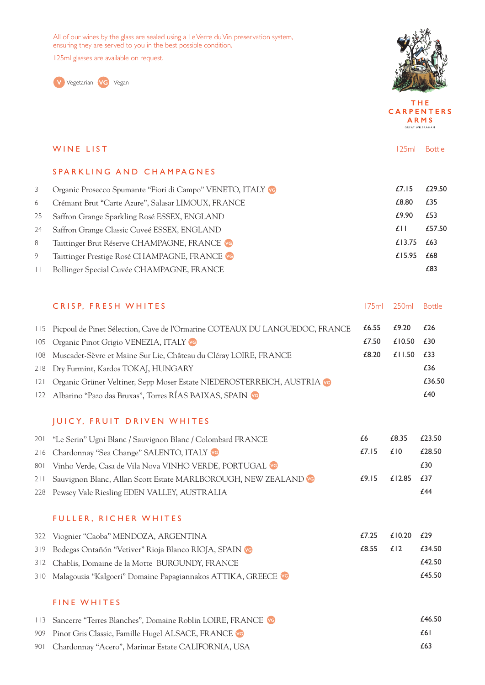All of our wines by the glass are sealed using a Le Verre du Vin preservation system, ensuring they are served to you in the best possible condition.

125ml glasses are available on request.





THE **CARPENTERS** ARMS GREAT WILBRAHAM

|        | WINE LIST                                                   | 125ml          | <b>Bottle</b> |
|--------|-------------------------------------------------------------|----------------|---------------|
|        | SPARKLING AND CHAMPAGNES                                    |                |               |
| 3      | Organic Prosecco Spumante "Fiori di Campo" VENETO, ITALY VO | £7.15          | £29.50        |
| 6      | Crémant Brut "Carte Azure", Salasar LIMOUX, FRANCE          | £8.80          | £35           |
| 25     | Saffron Grange Sparkling Rosé ESSEX, ENGLAND                | £9.90          | £53           |
| 24     | Saffron Grange Classic Cuveé ESSEX, ENGLAND                 | f <sub>1</sub> | £57.50        |
| 8      | Taittinger Brut Réserve CHAMPAGNE, FRANCE VG                | £13.75         | £63           |
| 9      | Taittinger Prestige Rosé CHAMPAGNE, FRANCE VG               | £15.95         | £68           |
| $\Box$ | Bollinger Special Cuvée CHAMPAGNE, FRANCE                   |                | £83           |
|        |                                                             |                |               |

|     | CRISP, FRESH WHITES                                                             |       | 175ml 250ml Bottle |        |
|-----|---------------------------------------------------------------------------------|-------|--------------------|--------|
|     | 115 Picpoul de Pinet Sélection, Cave de l'Ormarine COTEAUX DU LANGUEDOC, FRANCE | £6.55 | £9.20              | £26    |
|     | 105 Organic Pinot Grigio VENEZIA, ITALY VO                                      | £7.50 | £10.50             | £30    |
| 108 | Muscadet-Sèvre et Maine Sur Lie, Château du Cléray LOIRE, FRANCE                | £8.20 | £11.50             | £33    |
|     | 218 Dry Furmint, Kardos TOKAJ, HUNGARY                                          |       |                    | £36    |
| 2   | Organic Grüner Veltiner, Sepp Moser Estate NIEDEROSTERREICH, AUSTRIA            |       |                    | £36.50 |
|     | 122 Albarino "Pazo das Bruxas", Torres RÍAS BAIXAS, SPAIN                       |       |                    | £40    |

## JUICY, FRUIT DRIVEN WHITES

| 201 "Le Serin" Ugni Blanc / Sauvignon Blanc / Colombard FRANCE      | £6    | £8.35      | £23.50 |
|---------------------------------------------------------------------|-------|------------|--------|
| 216 Chardonnay "Sea Change" SALENTO, ITALY VO                       | £7.15 | f(0)       | £28.50 |
| 801 Vinho Verde, Casa de Vila Nova VINHO VERDE, PORTUGAL VG         |       |            | £30    |
| 211 Sauvignon Blanc, Allan Scott Estate MARLBOROUGH, NEW ZEALAND VG | £9.15 | £12.85 £37 |        |
| 228 Pewsey Vale Riesling EDEN VALLEY, AUSTRALIA                     |       |            | f 44   |

## FULLER, RICHER WHITES

| 322 Viognier "Caoba" MENDOZA, ARGENTINA                           | £7.25         | £10.20 £29 |        |
|-------------------------------------------------------------------|---------------|------------|--------|
| 319 Bodegas Ontañón "Vetiver" Rioja Blanco RIOJA, SPAIN VO        | $£8.55$ $£12$ |            | £34.50 |
| 312 Chablis, Domaine de la Motte BURGUNDY, FRANCE                 |               |            | £42.50 |
| 310 Malagouzia "Kalgoeri" Domaine Papagiannakos ATTIKA, GREECE VG |               |            | £45.50 |

## FINE WHITES

| 113 Sancerre "Terres Blanches", Domaine Roblin LOIRE, FRANCE VG | £46.50 |
|-----------------------------------------------------------------|--------|
| 909 Pinot Gris Classic, Famille Hugel ALSACE, FRANCE VG         | £61    |
| 901 Chardonnay "Acero", Marimar Estate CALIFORNIA, USA          | £63    |